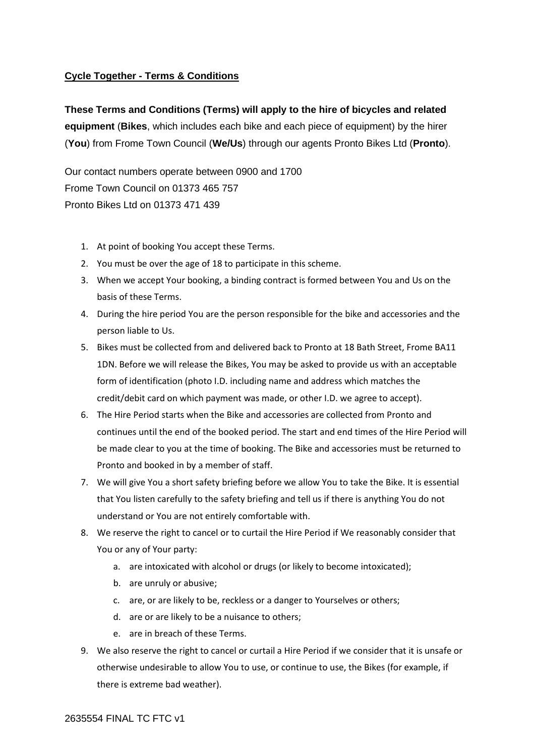# **Cycle Together - Terms & Conditions**

**These Terms and Conditions (Terms) will apply to the hire of bicycles and related equipment** (**Bikes**, which includes each bike and each piece of equipment) by the hirer (**You**) from Frome Town Council (**We/Us**) through our agents Pronto Bikes Ltd (**Pronto**).

Our contact numbers operate between 0900 and 1700 Frome Town Council on 01373 465 757 Pronto Bikes Ltd on 01373 471 439

- 1. At point of booking You accept these Terms.
- 2. You must be over the age of 18 to participate in this scheme.
- 3. When we accept Your booking, a binding contract is formed between You and Us on the basis of these Terms.
- 4. During the hire period You are the person responsible for the bike and accessories and the person liable to Us.
- 5. Bikes must be collected from and delivered back to Pronto at 18 Bath Street, Frome BA11 1DN. Before we will release the Bikes, You may be asked to provide us with an acceptable form of identification (photo I.D. including name and address which matches the credit/debit card on which payment was made, or other I.D. we agree to accept).
- 6. The Hire Period starts when the Bike and accessories are collected from Pronto and continues until the end of the booked period. The start and end times of the Hire Period will be made clear to you at the time of booking. The Bike and accessories must be returned to Pronto and booked in by a member of staff.
- 7. We will give You a short safety briefing before we allow You to take the Bike. It is essential that You listen carefully to the safety briefing and tell us if there is anything You do not understand or You are not entirely comfortable with.
- 8. We reserve the right to cancel or to curtail the Hire Period if We reasonably consider that You or any of Your party:
	- a. are intoxicated with alcohol or drugs (or likely to become intoxicated);
	- b. are unruly or abusive;
	- c. are, or are likely to be, reckless or a danger to Yourselves or others;
	- d. are or are likely to be a nuisance to others;
	- e. are in breach of these Terms.
- 9. We also reserve the right to cancel or curtail a Hire Period if we consider that it is unsafe or otherwise undesirable to allow You to use, or continue to use, the Bikes (for example, if there is extreme bad weather).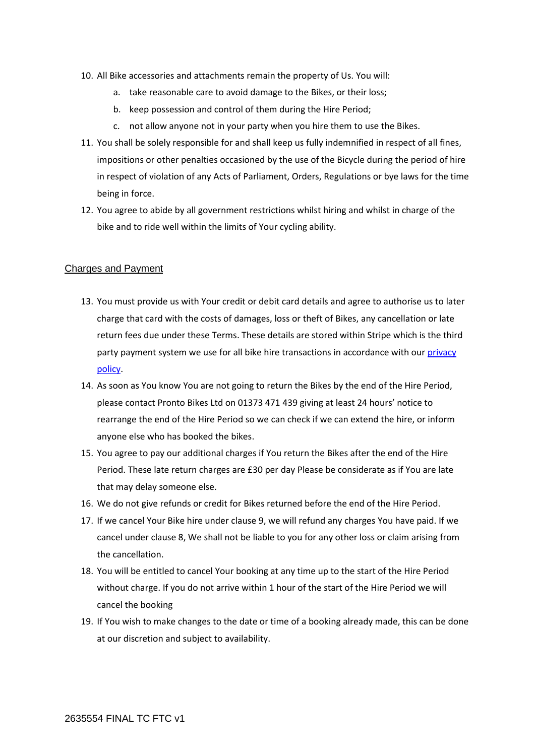- 10. All Bike accessories and attachments remain the property of Us. You will:
	- a. take reasonable care to avoid damage to the Bikes, or their loss;
	- b. keep possession and control of them during the Hire Period;
	- c. not allow anyone not in your party when you hire them to use the Bikes.
- 11. You shall be solely responsible for and shall keep us fully indemnified in respect of all fines, impositions or other penalties occasioned by the use of the Bicycle during the period of hire in respect of violation of any Acts of Parliament, Orders, Regulations or bye laws for the time being in force.
- 12. You agree to abide by all government restrictions whilst hiring and whilst in charge of the bike and to ride well within the limits of Your cycling ability.

#### Charges and Payment

- 13. You must provide us with Your credit or debit card details and agree to authorise us to later charge that card with the costs of damages, loss or theft of Bikes, any cancellation or late return fees due under these Terms. These details are stored within Stripe which is the third party payment system we use for all bike hire transactions in accordance with our [privacy](https://www.frometowncouncil.gov.uk/privacy-policy/)  [policy.](https://www.frometowncouncil.gov.uk/privacy-policy/)
- 14. As soon as You know You are not going to return the Bikes by the end of the Hire Period, please contact Pronto Bikes Ltd on 01373 471 439 giving at least 24 hours' notice to rearrange the end of the Hire Period so we can check if we can extend the hire, or inform anyone else who has booked the bikes.
- 15. You agree to pay our additional charges if You return the Bikes after the end of the Hire Period. These late return charges are £30 per day Please be considerate as if You are late that may delay someone else.
- 16. We do not give refunds or credit for Bikes returned before the end of the Hire Period.
- 17. If we cancel Your Bike hire under clause 9, we will refund any charges You have paid. If we cancel under clause 8, We shall not be liable to you for any other loss or claim arising from the cancellation.
- 18. You will be entitled to cancel Your booking at any time up to the start of the Hire Period without charge. If you do not arrive within 1 hour of the start of the Hire Period we will cancel the booking
- 19. If You wish to make changes to the date or time of a booking already made, this can be done at our discretion and subject to availability.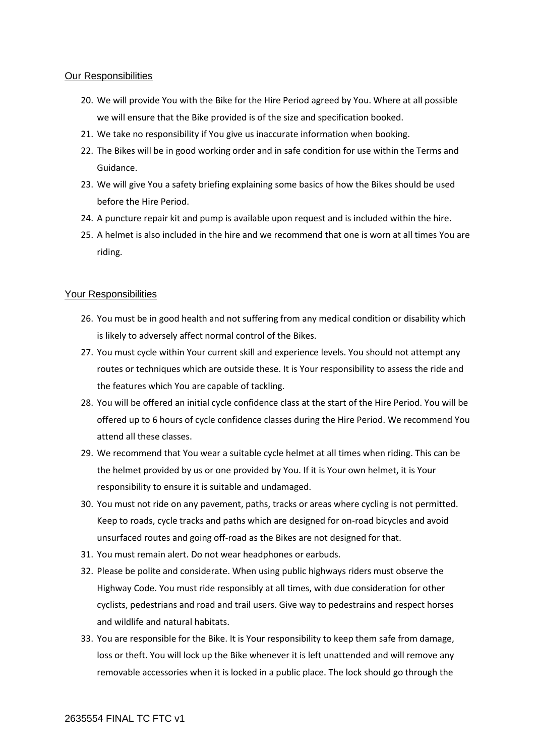# Our Responsibilities

- 20. We will provide You with the Bike for the Hire Period agreed by You. Where at all possible we will ensure that the Bike provided is of the size and specification booked.
- 21. We take no responsibility if You give us inaccurate information when booking.
- 22. The Bikes will be in good working order and in safe condition for use within the Terms and Guidance.
- 23. We will give You a safety briefing explaining some basics of how the Bikes should be used before the Hire Period.
- 24. A puncture repair kit and pump is available upon request and is included within the hire.
- 25. A helmet is also included in the hire and we recommend that one is worn at all times You are riding.

# Your Responsibilities

- 26. You must be in good health and not suffering from any medical condition or disability which is likely to adversely affect normal control of the Bikes.
- 27. You must cycle within Your current skill and experience levels. You should not attempt any routes or techniques which are outside these. It is Your responsibility to assess the ride and the features which You are capable of tackling.
- 28. You will be offered an initial cycle confidence class at the start of the Hire Period. You will be offered up to 6 hours of cycle confidence classes during the Hire Period. We recommend You attend all these classes.
- 29. We recommend that You wear a suitable cycle helmet at all times when riding. This can be the helmet provided by us or one provided by You. If it is Your own helmet, it is Your responsibility to ensure it is suitable and undamaged.
- 30. You must not ride on any pavement, paths, tracks or areas where cycling is not permitted. Keep to roads, cycle tracks and paths which are designed for on-road bicycles and avoid unsurfaced routes and going off-road as the Bikes are not designed for that.
- 31. You must remain alert. Do not wear headphones or earbuds.
- 32. Please be polite and considerate. When using public highways riders must observe the Highway Code. You must ride responsibly at all times, with due consideration for other cyclists, pedestrians and road and trail users. Give way to pedestrains and respect horses and wildlife and natural habitats.
- 33. You are responsible for the Bike. It is Your responsibility to keep them safe from damage, loss or theft. You will lock up the Bike whenever it is left unattended and will remove any removable accessories when it is locked in a public place. The lock should go through the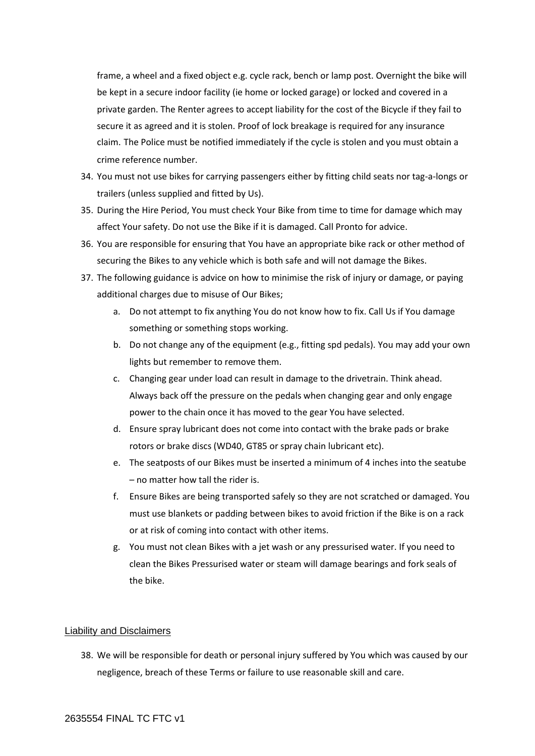frame, a wheel and a fixed object e.g. cycle rack, bench or lamp post. Overnight the bike will be kept in a secure indoor facility (ie home or locked garage) or locked and covered in a private garden. The Renter agrees to accept liability for the cost of the Bicycle if they fail to secure it as agreed and it is stolen. Proof of lock breakage is required for any insurance claim. The Police must be notified immediately if the cycle is stolen and you must obtain a crime reference number.

- 34. You must not use bikes for carrying passengers either by fitting child seats nor tag-a-longs or trailers (unless supplied and fitted by Us).
- 35. During the Hire Period, You must check Your Bike from time to time for damage which may affect Your safety. Do not use the Bike if it is damaged. Call Pronto for advice.
- 36. You are responsible for ensuring that You have an appropriate bike rack or other method of securing the Bikes to any vehicle which is both safe and will not damage the Bikes.
- 37. The following guidance is advice on how to minimise the risk of injury or damage, or paying additional charges due to misuse of Our Bikes;
	- a. Do not attempt to fix anything You do not know how to fix. Call Us if You damage something or something stops working.
	- b. Do not change any of the equipment (e.g., fitting spd pedals). You may add your own lights but remember to remove them.
	- c. Changing gear under load can result in damage to the drivetrain. Think ahead. Always back off the pressure on the pedals when changing gear and only engage power to the chain once it has moved to the gear You have selected.
	- d. Ensure spray lubricant does not come into contact with the brake pads or brake rotors or brake discs (WD40, GT85 or spray chain lubricant etc).
	- e. The seatposts of our Bikes must be inserted a minimum of 4 inches into the seatube – no matter how tall the rider is.
	- f. Ensure Bikes are being transported safely so they are not scratched or damaged. You must use blankets or padding between bikes to avoid friction if the Bike is on a rack or at risk of coming into contact with other items.
	- g. You must not clean Bikes with a jet wash or any pressurised water. If you need to clean the Bikes Pressurised water or steam will damage bearings and fork seals of the bike.

#### Liability and Disclaimers

38. We will be responsible for death or personal injury suffered by You which was caused by our negligence, breach of these Terms or failure to use reasonable skill and care.